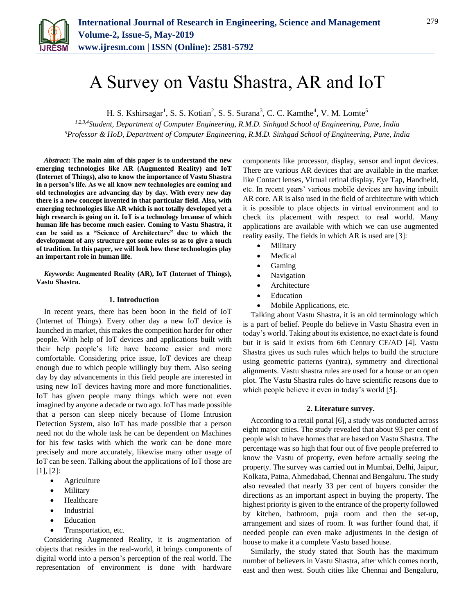

# A Survey on Vastu Shastra, AR and IoT

H. S. Kshirsagar<sup>1</sup>, S. S. Kotian<sup>2</sup>, S. S. Surana<sup>3</sup>, C. C. Kamthe<sup>4</sup>, V. M. Lomte<sup>5</sup>

*1,2,3,4Student, Department of Computer Engineering, R.M.D. Sinhgad School of Engineering, Pune, India <sup>5</sup>Professor & HoD, Department of Computer Engineering, R.M.D. Sinhgad School of Engineering, Pune, India*

*Abstract***: The main aim of this paper is to understand the new emerging technologies like AR (Augmented Reality) and IoT (Internet of Things), also to know the importance of Vastu Shastra in a person's life. As we all know new technologies are coming and old technologies are advancing day by day. With every new day there is a new concept invented in that particular field. Also, with emerging technologies like AR which is not totally developed yet a high research is going on it. IoT is a technology because of which human life has become much easier. Coming to Vastu Shastra, it can be said as a "Science of Architecture" due to which the development of any structure got some rules so as to give a touch of tradition. In this paper, we will look how these technologies play an important role in human life.**

*Keywords***: Augmented Reality (AR), IoT (Internet of Things), Vastu Shastra.**

#### **1. Introduction**

In recent years, there has been boon in the field of IoT (Internet of Things). Every other day a new IoT device is launched in market, this makes the competition harder for other people. With help of IoT devices and applications built with their help people's life have become easier and more comfortable. Considering price issue, IoT devices are cheap enough due to which people willingly buy them. Also seeing day by day advancements in this field people are interested in using new IoT devices having more and more functionalities. IoT has given people many things which were not even imagined by anyone a decade or two ago. IoT has made possible that a person can sleep nicely because of Home Intrusion Detection System, also IoT has made possible that a person need not do the whole task he can be dependent on Machines for his few tasks with which the work can be done more precisely and more accurately, likewise many other usage of IoT can be seen. Talking about the applications of IoT those are [1], [2]:

- Agriculture
- Military
- Healthcare
- Industrial
- Education
- Transportation, etc.

Considering Augmented Reality, it is augmentation of objects that resides in the real-world, it brings components of digital world into a person's perception of the real world. The representation of environment is done with hardware components like processor, display, sensor and input devices. There are various AR devices that are available in the market like Contact lenses, Virtual retinal display, Eye Tap, Handheld, etc. In recent years' various mobile devices are having inbuilt AR core. AR is also used in the field of architecture with which it is possible to place objects in virtual environment and to check its placement with respect to real world. Many applications are available with which we can use augmented reality easily. The fields in which AR is used are [3]:

- Military
- Medical
- Gaming
- Navigation
- Architecture
- Education
- Mobile Applications, etc.

Talking about Vastu Shastra, it is an old terminology which is a part of belief. People do believe in Vastu Shastra even in today's world. Taking about its existence, no exact date is found but it is said it exists from 6th Century CE/AD [4]. Vastu Shastra gives us such rules which helps to build the structure using geometric patterns (yantra), symmetry and directional alignments. Vastu shastra rules are used for a house or an open plot. The Vastu Shastra rules do have scientific reasons due to which people believe it even in today's world [5].

## **2. Literature survey.**

According to a retail portal [6], a study was conducted across eight major cities. The study revealed that about 93 per cent of people wish to have homes that are based on Vastu Shastra. The percentage was so high that four out of five people preferred to know the Vastu of property, even before actually seeing the property. The survey was carried out in Mumbai, Delhi, Jaipur, Kolkata, Patna, Ahmedabad, Chennai and Bengaluru. The study also revealed that nearly 33 per cent of buyers consider the directions as an important aspect in buying the property. The highest priority is given to the entrance of the property followed by kitchen, bathroom, puja room and then the set-up, arrangement and sizes of room. It was further found that, if needed people can even make adjustments in the design of house to make it a complete Vastu based house.

Similarly, the study stated that South has the maximum number of believers in Vastu Shastra, after which comes north, east and then west. South cities like Chennai and Bengaluru,